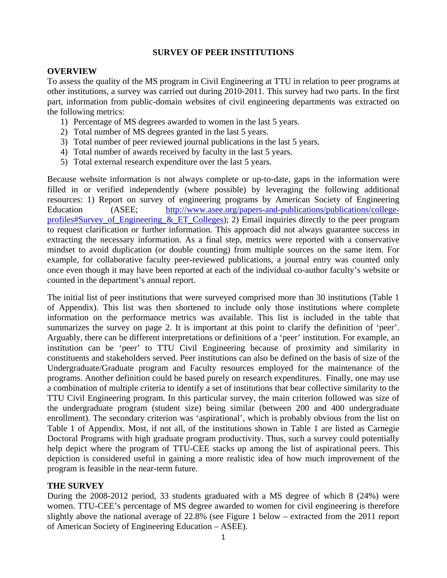# **SURVEY OF PEER INSTITUTIONS**

### **OVERVIEW**

To assess the quality of the MS program in Civil Engineering at TTU in relation to peer programs at other institutions, a survey was carried out during 2010-2011. This survey had two parts. In the first part, information from public-domain websites of civil engineering departments was extracted on the following metrics:

- 1) Percentage of MS degrees awarded to women in the last 5 years.
- 2) Total number of MS degrees granted in the last 5 years.
- 3) Total number of peer reviewed journal publications in the last 5 years.
- 4) Total number of awards received by faculty in the last 5 years.
- 5) Total external research expenditure over the last 5 years.

Because website information is not always complete or up-to-date, gaps in the information were filled in or verified independently (where possible) by leveraging the following additional resources: 1) Report on survey of engineering programs by American Society of Engineering Education (ASEE; http://www.asee.org/papers-and-publications/publications/collegeprofiles#Survey\_of\_Engineering\_&\_ET\_Colleges); 2) Email inquiries directly to the peer program to request clarification or further information. This approach did not always guarantee success in extracting the necessary information. As a final step, metrics were reported with a conservative mindset to avoid duplication (or double counting) from multiple sources on the same item. For example, for collaborative faculty peer-reviewed publications, a journal entry was counted only once even though it may have been reported at each of the individual co-author faculty's website or counted in the department's annual report.

The initial list of peer institutions that were surveyed comprised more than 30 institutions (Table 1 of Appendix). This list was then shortened to include only those institutions where complete information on the performance metrics was available. This list is included in the table that summarizes the survey on page 2. It is important at this point to clarify the definition of 'peer'. Arguably, there can be different interpretations or definitions of a 'peer' institution. For example, an institution can be 'peer' to TTU Civil Engineering because of proximity and similarity in constituents and stakeholders served. Peer institutions can also be defined on the basis of size of the Undergraduate/Graduate program and Faculty resources employed for the maintenance of the programs. Another definition could be based purely on research expenditures. Finally, one may use a combination of multiple criteria to identify a set of institutions that bear collective similarity to the TTU Civil Engineering program. In this particular survey, the main criterion followed was size of the undergraduate program (student size) being similar (between 200 and 400 undergraduate enrollment). The secondary criterion was 'aspirational', which is probably obvious from the list on Table 1 of Appendix. Most, if not all, of the institutions shown in Table 1 are listed as Carnegie Doctoral Programs with high graduate program productivity. Thus, such a survey could potentially help depict where the program of TTU-CEE stacks up among the list of aspirational peers. This depiction is considered useful in gaining a more realistic idea of how much improvement of the program is feasible in the near-term future.

# **THE SURVEY**

During the 2008-2012 period, 33 students graduated with a MS degree of which 8 (24%) were women. TTU-CEE's percentage of MS degree awarded to women for civil engineering is therefore slightly above the national average of 22.8% (see Figure 1 below – extracted from the 2011 report of American Society of Engineering Education – ASEE).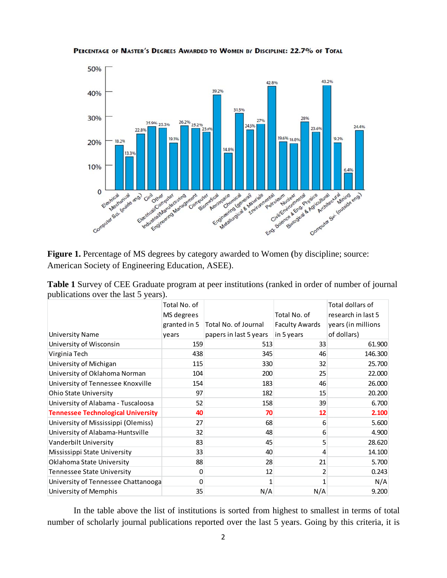

PERCENTAGE OF MASTER'S DEGREES AWARDED TO WOMEN BY DISCIPLINE: 22.7% OF TOTAL

Figure 1. Percentage of MS degrees by category awarded to Women (by discipline; source: American Society of Engineering Education, ASEE).

| <b>Table 1</b> Survey of CEE Graduate program at peer institutions (ranked in order of number of journal |  |
|----------------------------------------------------------------------------------------------------------|--|
| publications over the last 5 years).                                                                     |  |

|                                           | Total No. of    |                        |                       | Total dollars of   |
|-------------------------------------------|-----------------|------------------------|-----------------------|--------------------|
|                                           | MS degrees      |                        | Total No. of          | research in last 5 |
|                                           | granted in 5    | Total No. of Journal   | <b>Faculty Awards</b> | years (in millions |
| <b>University Name</b>                    | years           | papers in last 5 years | in 5 years            | of dollars)        |
| University of Wisconsin                   | 159             | 513                    | 33                    | 61.900             |
| Virginia Tech                             | 438             | 345                    | 46                    | 146.300            |
| University of Michigan                    | 115             | 330                    | 32                    | 25.700             |
| University of Oklahoma Norman             | 104             | 200                    | 25                    | 22.000             |
| University of Tennessee Knoxville         | 154             | 183                    | 46                    | 26.000             |
| <b>Ohio State University</b>              | 97              | 182                    | 15                    | 20.200             |
| University of Alabama - Tuscaloosa        | 52              | 158                    | 39                    | 6.700              |
| <b>Tennessee Technological University</b> | 40              | 70                     | 12                    | 2.100              |
| University of Mississippi (Olemiss)       | 27              | 68                     | 6                     | 5.600              |
| University of Alabama-Huntsville          | 32              | 48                     | 6                     | 4.900              |
| Vanderbilt University                     | 83              | 45                     | 5                     | 28.620             |
| Mississippi State University              | 33              | 40                     | 4                     | 14.100             |
| Oklahoma State University                 | 88              | 28                     | 21                    | 5.700              |
| <b>Tennessee State University</b>         | 0               | 12                     | 2                     | 0.243              |
| University of Tennessee Chattanooga       | 0               |                        | 1                     | N/A                |
| University of Memphis                     | 35 <sup>2</sup> | N/A                    | N/A                   | 9.200              |

In the table above the list of institutions is sorted from highest to smallest in terms of total number of scholarly journal publications reported over the last 5 years. Going by this criteria, it is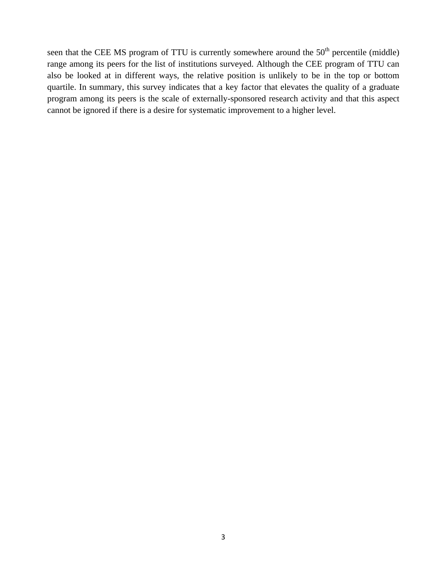seen that the CEE MS program of TTU is currently somewhere around the  $50<sup>th</sup>$  percentile (middle) range among its peers for the list of institutions surveyed. Although the CEE program of TTU can also be looked at in different ways, the relative position is unlikely to be in the top or bottom quartile. In summary, this survey indicates that a key factor that elevates the quality of a graduate program among its peers is the scale of externally-sponsored research activity and that this aspect cannot be ignored if there is a desire for systematic improvement to a higher level.